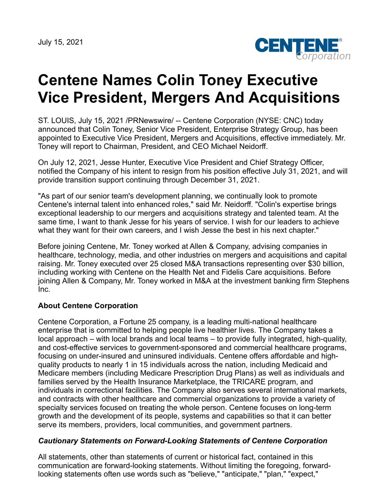July 15, 2021



## **Centene Names Colin Toney Executive Vice President, Mergers And Acquisitions**

ST. LOUIS, July 15, 2021 /PRNewswire/ -- Centene Corporation (NYSE: CNC) today announced that Colin Toney, Senior Vice President, Enterprise Strategy Group, has been appointed to Executive Vice President, Mergers and Acquisitions, effective immediately. Mr. Toney will report to Chairman, President, and CEO Michael Neidorff.

On July 12, 2021, Jesse Hunter, Executive Vice President and Chief Strategy Officer, notified the Company of his intent to resign from his position effective July 31, 2021, and will provide transition support continuing through December 31, 2021.

"As part of our senior team's development planning, we continually look to promote Centene's internal talent into enhanced roles," said Mr. Neidorff. "Colin's expertise brings exceptional leadership to our mergers and acquisitions strategy and talented team. At the same time, I want to thank Jesse for his years of service. I wish for our leaders to achieve what they want for their own careers, and I wish Jesse the best in his next chapter."

Before joining Centene, Mr. Toney worked at Allen & Company, advising companies in healthcare, technology, media, and other industries on mergers and acquisitions and capital raising. Mr. Toney executed over 25 closed M&A transactions representing over \$30 billion, including working with Centene on the Health Net and Fidelis Care acquisitions. Before joining Allen & Company, Mr. Toney worked in M&A at the investment banking firm Stephens Inc.

## **About Centene Corporation**

Centene Corporation, a Fortune 25 company, is a leading multi-national healthcare enterprise that is committed to helping people live healthier lives. The Company takes a local approach – with local brands and local teams – to provide fully integrated, high-quality, and cost-effective services to government-sponsored and commercial healthcare programs, focusing on under-insured and uninsured individuals. Centene offers affordable and highquality products to nearly 1 in 15 individuals across the nation, including Medicaid and Medicare members (including Medicare Prescription Drug Plans) as well as individuals and families served by the Health Insurance Marketplace, the TRICARE program, and individuals in correctional facilities. The Company also serves several international markets, and contracts with other healthcare and commercial organizations to provide a variety of specialty services focused on treating the whole person. Centene focuses on long-term growth and the development of its people, systems and capabilities so that it can better serve its members, providers, local communities, and government partners.

## *Cautionary Statements on Forward-Looking Statements of Centene Corporation*

All statements, other than statements of current or historical fact, contained in this communication are forward-looking statements. Without limiting the foregoing, forwardlooking statements often use words such as "believe," "anticipate," "plan," "expect,"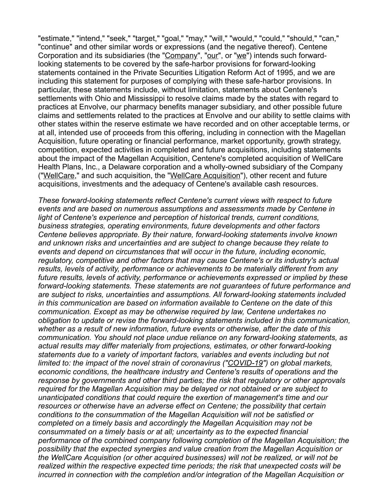"estimate," "intend," "seek," "target," "goal," "may," "will," "would," "could," "should," "can," "continue" and other similar words or expressions (and the negative thereof). Centene Corporation and its subsidiaries (the "Company", "our", or "we") intends such forwardlooking statements to be covered by the safe-harbor provisions for forward-looking statements contained in the Private Securities Litigation Reform Act of 1995, and we are including this statement for purposes of complying with these safe-harbor provisions. In particular, these statements include, without limitation, statements about Centene's settlements with Ohio and Mississippi to resolve claims made by the states with regard to practices at Envolve, our pharmacy benefits manager subsidiary, and other possible future claims and settlements related to the practices at Envolve and our ability to settle claims with other states within the reserve estimate we have recorded and on other acceptable terms, or at all, intended use of proceeds from this offering, including in connection with the Magellan Acquisition, future operating or financial performance, market opportunity, growth strategy, competition, expected activities in completed and future acquisitions, including statements about the impact of the Magellan Acquisition, Centene's completed acquisition of WellCare Health Plans, Inc., a Delaware corporation and a wholly-owned subsidiary of the Company ("WellCare," and such acquisition, the "WellCare Acquisition"), other recent and future acquisitions, investments and the adequacy of Centene's available cash resources.

*These forward-looking statements reflect Centene's current views with respect to future events and are based on numerous assumptions and assessments made by Centene in light of Centene's experience and perception of historical trends, current conditions, business strategies, operating environments, future developments and other factors Centene believes appropriate. By their nature, forward-looking statements involve known and unknown risks and uncertainties and are subject to change because they relate to events and depend on circumstances that will occur in the future, including economic, regulatory, competitive and other factors that may cause Centene's or its industry's actual results, levels of activity, performance or achievements to be materially different from any future results, levels of activity, performance or achievements expressed or implied by these forward-looking statements. These statements are not guarantees of future performance and are subject to risks, uncertainties and assumptions. All forward-looking statements included in this communication are based on information available to Centene on the date of this communication. Except as may be otherwise required by law, Centene undertakes no obligation to update or revise the forward-looking statements included in this communication, whether as a result of new information, future events or otherwise, after the date of this communication. You should not place undue reliance on any forward-looking statements, as actual results may differ materially from projections, estimates, or other forward-looking statements due to a variety of important factors, variables and events including but not limited to: the impact of the novel strain of coronavirus ("COVID-19") on global markets, economic conditions, the healthcare industry and Centene's results of operations and the response by governments and other third parties; the risk that regulatory or other approvals required for the Magellan Acquisition may be delayed or not obtained or are subject to unanticipated conditions that could require the exertion of management's time and our resources or otherwise have an adverse effect on Centene; the possibility that certain conditions to the consummation of the Magellan Acquisition will not be satisfied or completed on a timely basis and accordingly the Magellan Acquisition may not be consummated on a timely basis or at all; uncertainty as to the expected financial performance of the combined company following completion of the Magellan Acquisition; the possibility that the expected synergies and value creation from the Magellan Acquisition or the WellCare Acquisition (or other acquired businesses) will not be realized, or will not be realized within the respective expected time periods; the risk that unexpected costs will be incurred in connection with the completion and/or integration of the Magellan Acquisition or*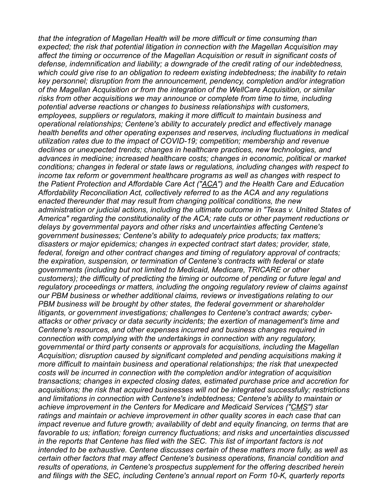*that the integration of Magellan Health will be more difficult or time consuming than expected; the risk that potential litigation in connection with the Magellan Acquisition may affect the timing or occurrence of the Magellan Acquisition or result in significant costs of defense, indemnification and liability; a downgrade of the credit rating of our indebtedness, which could give rise to an obligation to redeem existing indebtedness; the inability to retain key personnel; disruption from the announcement, pendency, completion and/or integration of the Magellan Acquisition or from the integration of the WellCare Acquisition, or similar risks from other acquisitions we may announce or complete from time to time, including potential adverse reactions or changes to business relationships with customers, employees, suppliers or regulators, making it more difficult to maintain business and operational relationships; Centene's ability to accurately predict and effectively manage health benefits and other operating expenses and reserves, including fluctuations in medical utilization rates due to the impact of COVID-19; competition; membership and revenue declines or unexpected trends; changes in healthcare practices, new technologies, and advances in medicine; increased healthcare costs; changes in economic, political or market conditions; changes in federal or state laws or regulations, including changes with respect to income tax reform or government healthcare programs as well as changes with respect to the Patient Protection and Affordable Care Act ("ACA") and the Health Care and Education Affordability Reconciliation Act, collectively referred to as the ACA and any regulations enacted thereunder that may result from changing political conditions, the new administration or judicial actions, including the ultimate outcome in "Texas v. United States of America" regarding the constitutionality of the ACA; rate cuts or other payment reductions or delays by governmental payors and other risks and uncertainties affecting Centene's government businesses; Centene's ability to adequately price products; tax matters; disasters or major epidemics; changes in expected contract start dates; provider, state, federal, foreign and other contract changes and timing of regulatory approval of contracts; the expiration, suspension, or termination of Centene's contracts with federal or state governments (including but not limited to Medicaid, Medicare, TRICARE or other customers); the difficulty of predicting the timing or outcome of pending or future legal and regulatory proceedings or matters, including the ongoing regulatory review of claims against our PBM business or whether additional claims, reviews or investigations relating to our PBM business will be brought by other states, the federal government or shareholder litigants, or government investigations; challenges to Centene's contract awards; cyberattacks or other privacy or data security incidents; the exertion of management's time and Centene's resources, and other expenses incurred and business changes required in connection with complying with the undertakings in connection with any regulatory, governmental or third party consents or approvals for acquisitions, including the Magellan Acquisition; disruption caused by significant completed and pending acquisitions making it more difficult to maintain business and operational relationships; the risk that unexpected costs will be incurred in connection with the completion and/or integration of acquisition transactions; changes in expected closing dates, estimated purchase price and accretion for acquisitions; the risk that acquired businesses will not be integrated successfully; restrictions and limitations in connection with Centene's indebtedness; Centene's ability to maintain or achieve improvement in the Centers for Medicare and Medicaid Services ("CMS") star ratings and maintain or achieve improvement in other quality scores in each case that can impact revenue and future growth; availability of debt and equity financing, on terms that are favorable to us; inflation; foreign currency fluctuations; and risks and uncertainties discussed in the reports that Centene has filed with the SEC. This list of important factors is not intended to be exhaustive. Centene discusses certain of these matters more fully, as well as certain other factors that may affect Centene's business operations, financial condition and results of operations, in Centene's prospectus supplement for the offering described herein and filings with the SEC, including Centene's annual report on Form 10-K, quarterly reports*